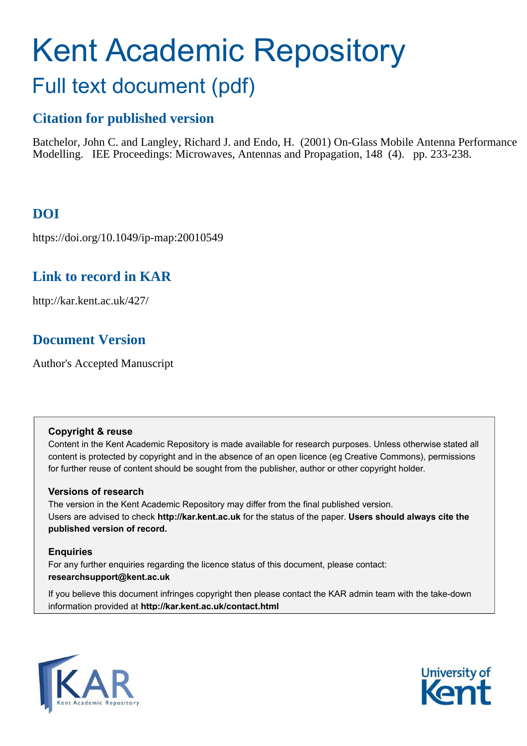# Kent Academic Repository Full text document (pdf)

# **Citation for published version**

Batchelor, John C. and Langley, Richard J. and Endo, H. (2001) On-Glass Mobile Antenna Performance Modelling. IEE Proceedings: Microwaves, Antennas and Propagation, 148 (4). pp. 233-238.

# **DOI**

https://doi.org/10.1049/ip-map:20010549

## **Link to record in KAR**

http://kar.kent.ac.uk/427/

## **Document Version**

Author's Accepted Manuscript

#### **Copyright & reuse**

Content in the Kent Academic Repository is made available for research purposes. Unless otherwise stated all content is protected by copyright and in the absence of an open licence (eg Creative Commons), permissions for further reuse of content should be sought from the publisher, author or other copyright holder.

## **Versions of research**

The version in the Kent Academic Repository may differ from the final published version. Users are advised to check **http://kar.kent.ac.uk** for the status of the paper. **Users should always cite the published version of record.**

#### **Enquiries**

For any further enquiries regarding the licence status of this document, please contact: **researchsupport@kent.ac.uk**

If you believe this document infringes copyright then please contact the KAR admin team with the take-down information provided at **http://kar.kent.ac.uk/contact.html**



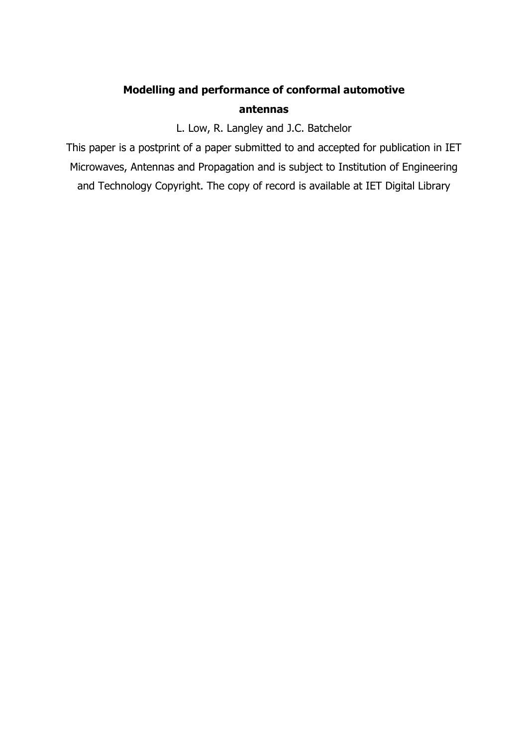# **Modelling and performance of conformal automotive antennas**

L. Low, R. Langley and J.C. Batchelor

This paper is a postprint of a paper submitted to and accepted for publication in IET Microwaves, Antennas and Propagation and is subject to Institution of Engineering and Technology Copyright. The copy of record is available at IET Digital Library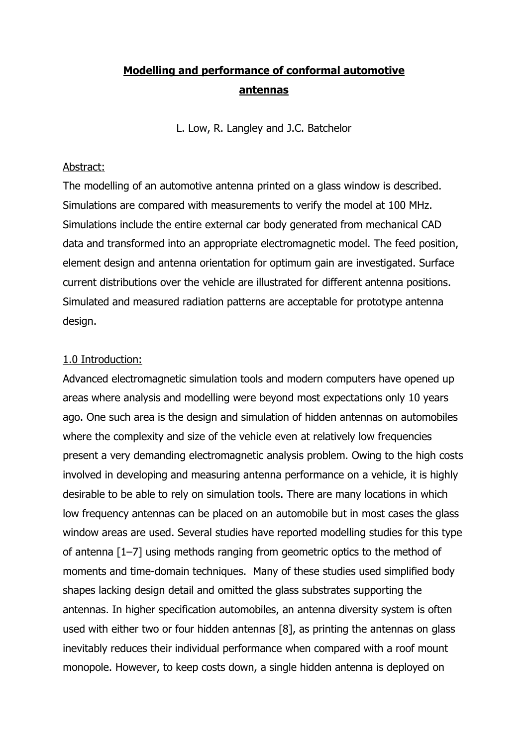## **Modelling and performance of conformal automotive antennas**

L. Low, R. Langley and J.C. Batchelor

## Abstract:

The modelling of an automotive antenna printed on a glass window is described. Simulations are compared with measurements to verify the model at 100 MHz. Simulations include the entire external car body generated from mechanical CAD data and transformed into an appropriate electromagnetic model. The feed position, element design and antenna orientation for optimum gain are investigated. Surface current distributions over the vehicle are illustrated for different antenna positions. Simulated and measured radiation patterns are acceptable for prototype antenna design.

## 1.0 Introduction:

Advanced electromagnetic simulation tools and modern computers have opened up areas where analysis and modelling were beyond most expectations only 10 years ago. One such area is the design and simulation of hidden antennas on automobiles where the complexity and size of the vehicle even at relatively low frequencies present a very demanding electromagnetic analysis problem. Owing to the high costs involved in developing and measuring antenna performance on a vehicle, it is highly desirable to be able to rely on simulation tools. There are many locations in which low frequency antennas can be placed on an automobile but in most cases the glass window areas are used. Several studies have reported modelling studies for this type of antenna [1–7] using methods ranging from geometric optics to the method of moments and time-domain techniques. Many of these studies used simplified body shapes lacking design detail and omitted the glass substrates supporting the antennas. In higher specification automobiles, an antenna diversity system is often used with either two or four hidden antennas [8], as printing the antennas on glass inevitably reduces their individual performance when compared with a roof mount monopole. However, to keep costs down, a single hidden antenna is deployed on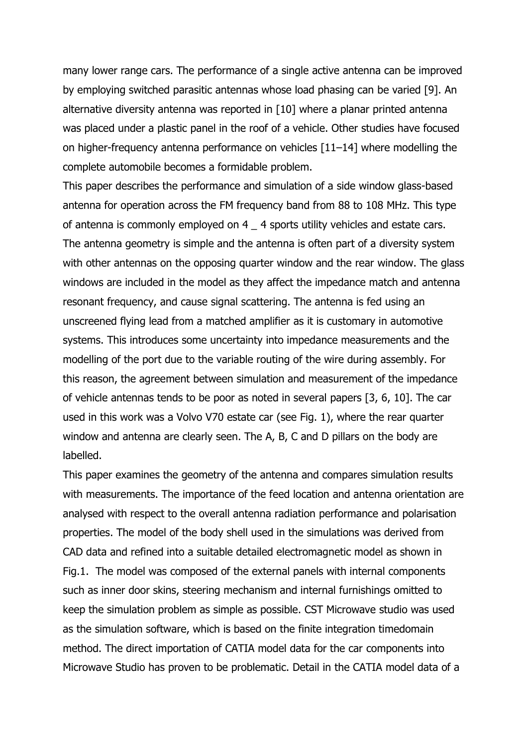many lower range cars. The performance of a single active antenna can be improved by employing switched parasitic antennas whose load phasing can be varied [9]. An alternative diversity antenna was reported in [10] where a planar printed antenna was placed under a plastic panel in the roof of a vehicle. Other studies have focused on higher-frequency antenna performance on vehicles [11–14] where modelling the complete automobile becomes a formidable problem.

This paper describes the performance and simulation of a side window glass-based antenna for operation across the FM frequency band from 88 to 108 MHz. This type of antenna is commonly employed on 4 \_ 4 sports utility vehicles and estate cars. The antenna geometry is simple and the antenna is often part of a diversity system with other antennas on the opposing quarter window and the rear window. The glass windows are included in the model as they affect the impedance match and antenna resonant frequency, and cause signal scattering. The antenna is fed using an unscreened flying lead from a matched amplifier as it is customary in automotive systems. This introduces some uncertainty into impedance measurements and the modelling of the port due to the variable routing of the wire during assembly. For this reason, the agreement between simulation and measurement of the impedance of vehicle antennas tends to be poor as noted in several papers [3, 6, 10]. The car used in this work was a Volvo V70 estate car (see Fig. 1), where the rear quarter window and antenna are clearly seen. The A, B, C and D pillars on the body are labelled.

This paper examines the geometry of the antenna and compares simulation results with measurements. The importance of the feed location and antenna orientation are analysed with respect to the overall antenna radiation performance and polarisation properties. The model of the body shell used in the simulations was derived from CAD data and refined into a suitable detailed electromagnetic model as shown in Fig.1. The model was composed of the external panels with internal components such as inner door skins, steering mechanism and internal furnishings omitted to keep the simulation problem as simple as possible. CST Microwave studio was used as the simulation software, which is based on the finite integration timedomain method. The direct importation of CATIA model data for the car components into Microwave Studio has proven to be problematic. Detail in the CATIA model data of a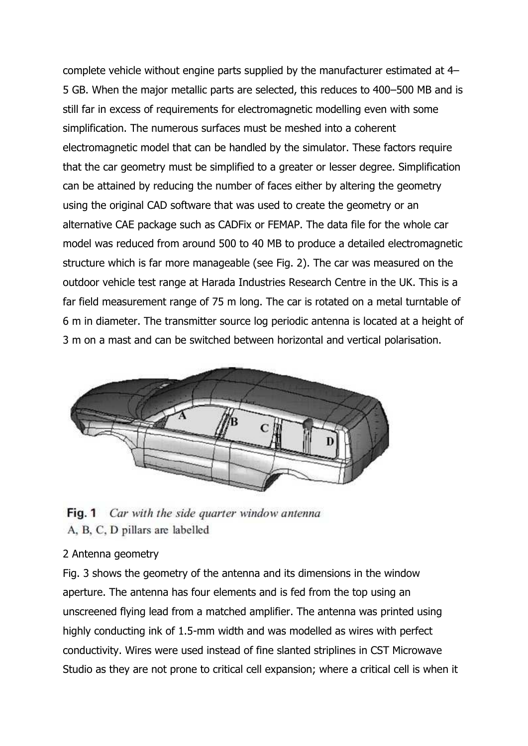complete vehicle without engine parts supplied by the manufacturer estimated at 4– 5 GB. When the major metallic parts are selected, this reduces to 400–500 MB and is still far in excess of requirements for electromagnetic modelling even with some simplification. The numerous surfaces must be meshed into a coherent electromagnetic model that can be handled by the simulator. These factors require that the car geometry must be simplified to a greater or lesser degree. Simplification can be attained by reducing the number of faces either by altering the geometry using the original CAD software that was used to create the geometry or an alternative CAE package such as CADFix or FEMAP. The data file for the whole car model was reduced from around 500 to 40 MB to produce a detailed electromagnetic structure which is far more manageable (see Fig. 2). The car was measured on the outdoor vehicle test range at Harada Industries Research Centre in the UK. This is a far field measurement range of 75 m long. The car is rotated on a metal turntable of 6 m in diameter. The transmitter source log periodic antenna is located at a height of 3 m on a mast and can be switched between horizontal and vertical polarisation.



Fig. 1 Car with the side quarter window antenna A, B, C, D pillars are labelled

## 2 Antenna geometry

Fig. 3 shows the geometry of the antenna and its dimensions in the window aperture. The antenna has four elements and is fed from the top using an unscreened flying lead from a matched amplifier. The antenna was printed using highly conducting ink of 1.5-mm width and was modelled as wires with perfect conductivity. Wires were used instead of fine slanted striplines in CST Microwave Studio as they are not prone to critical cell expansion; where a critical cell is when it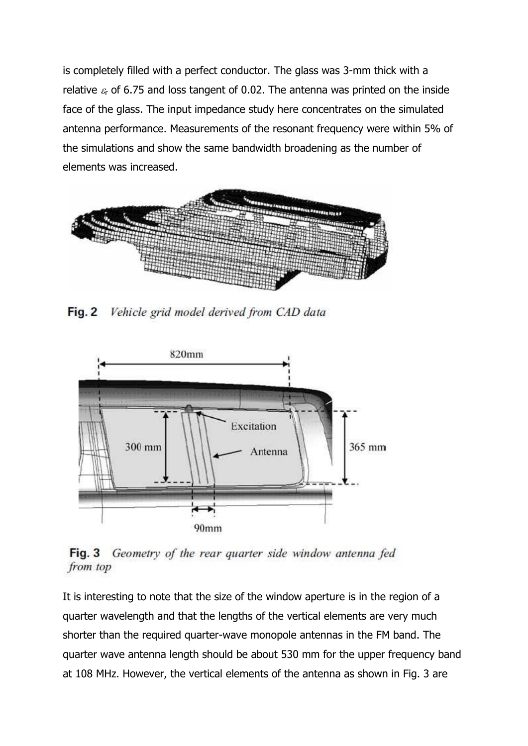is completely filled with a perfect conductor. The glass was 3-mm thick with a relative  $\varepsilon$  of 6.75 and loss tangent of 0.02. The antenna was printed on the inside face of the glass. The input impedance study here concentrates on the simulated antenna performance. Measurements of the resonant frequency were within 5% of the simulations and show the same bandwidth broadening as the number of elements was increased.



 $Fig. 2$ Vehicle grid model derived from CAD data



Geometry of the rear quarter side window antenna fed Fig.  $3$ from top

It is interesting to note that the size of the window aperture is in the region of a quarter wavelength and that the lengths of the vertical elements are very much shorter than the required quarter-wave monopole antennas in the FM band. The quarter wave antenna length should be about 530 mm for the upper frequency band at 108 MHz. However, the vertical elements of the antenna as shown in Fig. 3 are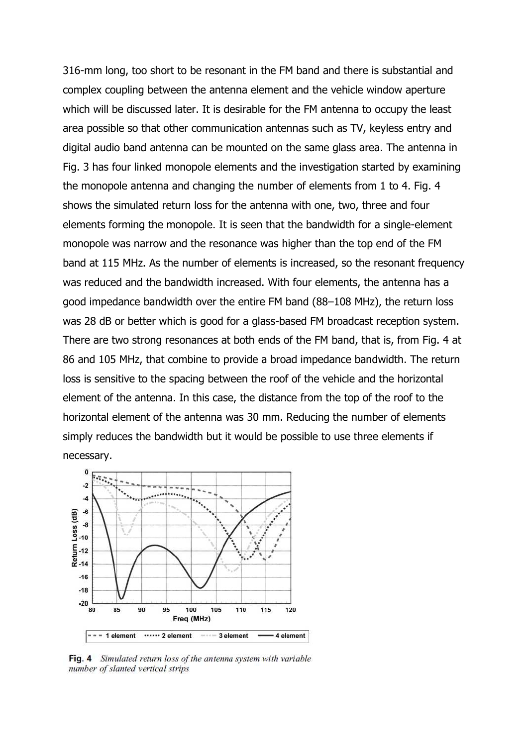316-mm long, too short to be resonant in the FM band and there is substantial and complex coupling between the antenna element and the vehicle window aperture which will be discussed later. It is desirable for the FM antenna to occupy the least area possible so that other communication antennas such as TV, keyless entry and digital audio band antenna can be mounted on the same glass area. The antenna in Fig. 3 has four linked monopole elements and the investigation started by examining the monopole antenna and changing the number of elements from 1 to 4. Fig. 4 shows the simulated return loss for the antenna with one, two, three and four elements forming the monopole. It is seen that the bandwidth for a single-element monopole was narrow and the resonance was higher than the top end of the FM band at 115 MHz. As the number of elements is increased, so the resonant frequency was reduced and the bandwidth increased. With four elements, the antenna has a good impedance bandwidth over the entire FM band (88–108 MHz), the return loss was 28 dB or better which is good for a glass-based FM broadcast reception system. There are two strong resonances at both ends of the FM band, that is, from Fig. 4 at 86 and 105 MHz, that combine to provide a broad impedance bandwidth. The return loss is sensitive to the spacing between the roof of the vehicle and the horizontal element of the antenna. In this case, the distance from the top of the roof to the horizontal element of the antenna was 30 mm. Reducing the number of elements simply reduces the bandwidth but it would be possible to use three elements if necessary.



Fig. 4 Simulated return loss of the antenna system with variable number of slanted vertical strips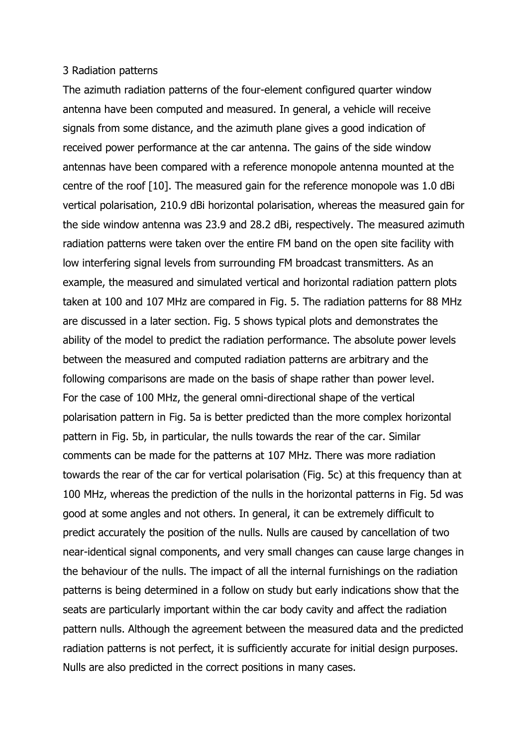#### 3 Radiation patterns

The azimuth radiation patterns of the four-element configured quarter window antenna have been computed and measured. In general, a vehicle will receive signals from some distance, and the azimuth plane gives a good indication of received power performance at the car antenna. The gains of the side window antennas have been compared with a reference monopole antenna mounted at the centre of the roof [10]. The measured gain for the reference monopole was 1.0 dBi vertical polarisation, 210.9 dBi horizontal polarisation, whereas the measured gain for the side window antenna was 23.9 and 28.2 dBi, respectively. The measured azimuth radiation patterns were taken over the entire FM band on the open site facility with low interfering signal levels from surrounding FM broadcast transmitters. As an example, the measured and simulated vertical and horizontal radiation pattern plots taken at 100 and 107 MHz are compared in Fig. 5. The radiation patterns for 88 MHz are discussed in a later section. Fig. 5 shows typical plots and demonstrates the ability of the model to predict the radiation performance. The absolute power levels between the measured and computed radiation patterns are arbitrary and the following comparisons are made on the basis of shape rather than power level. For the case of 100 MHz, the general omni-directional shape of the vertical polarisation pattern in Fig. 5a is better predicted than the more complex horizontal pattern in Fig. 5b, in particular, the nulls towards the rear of the car. Similar comments can be made for the patterns at 107 MHz. There was more radiation towards the rear of the car for vertical polarisation (Fig. 5c) at this frequency than at 100 MHz, whereas the prediction of the nulls in the horizontal patterns in Fig. 5d was good at some angles and not others. In general, it can be extremely difficult to predict accurately the position of the nulls. Nulls are caused by cancellation of two near-identical signal components, and very small changes can cause large changes in the behaviour of the nulls. The impact of all the internal furnishings on the radiation patterns is being determined in a follow on study but early indications show that the seats are particularly important within the car body cavity and affect the radiation pattern nulls. Although the agreement between the measured data and the predicted radiation patterns is not perfect, it is sufficiently accurate for initial design purposes. Nulls are also predicted in the correct positions in many cases.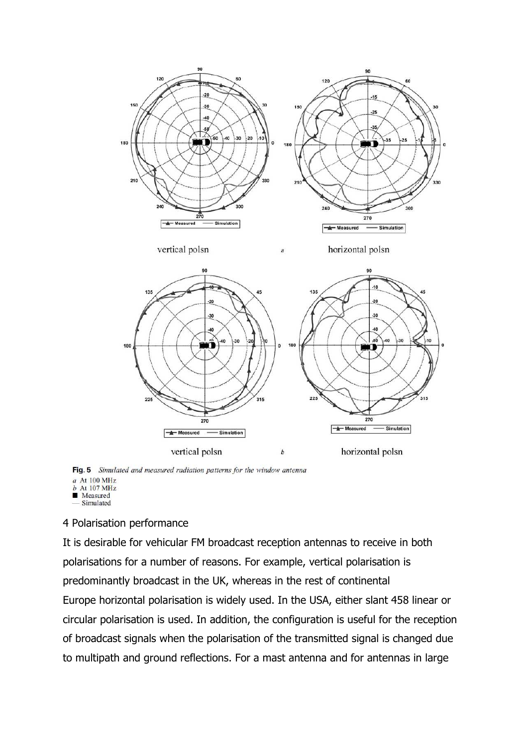

Fig. 5 Simulated and measured radiation patterns for the window antenna a At 100 MHz  $b$  At  $107$  MHz Measured Simulated

#### 4 Polarisation performance

It is desirable for vehicular FM broadcast reception antennas to receive in both polarisations for a number of reasons. For example, vertical polarisation is predominantly broadcast in the UK, whereas in the rest of continental Europe horizontal polarisation is widely used. In the USA, either slant 458 linear or circular polarisation is used. In addition, the configuration is useful for the reception of broadcast signals when the polarisation of the transmitted signal is changed due to multipath and ground reflections. For a mast antenna and for antennas in large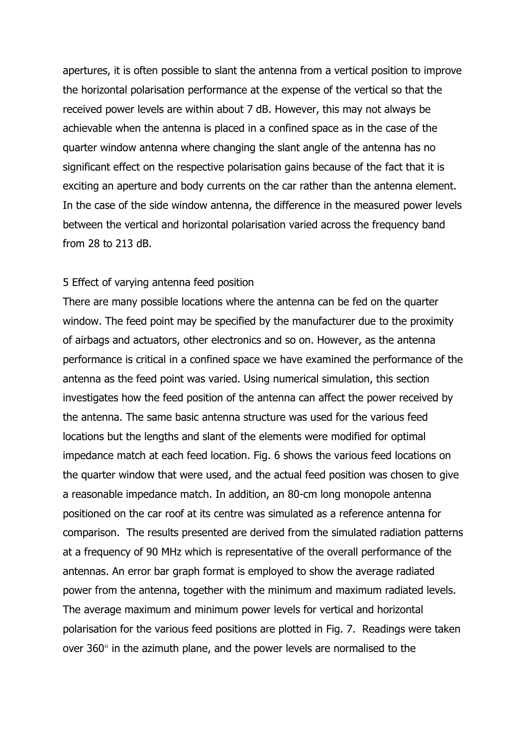apertures, it is often possible to slant the antenna from a vertical position to improve the horizontal polarisation performance at the expense of the vertical so that the received power levels are within about 7 dB. However, this may not always be achievable when the antenna is placed in a confined space as in the case of the quarter window antenna where changing the slant angle of the antenna has no significant effect on the respective polarisation gains because of the fact that it is exciting an aperture and body currents on the car rather than the antenna element. In the case of the side window antenna, the difference in the measured power levels between the vertical and horizontal polarisation varied across the frequency band from 28 to 213 dB.

#### 5 Effect of varying antenna feed position

There are many possible locations where the antenna can be fed on the quarter window. The feed point may be specified by the manufacturer due to the proximity of airbags and actuators, other electronics and so on. However, as the antenna performance is critical in a confined space we have examined the performance of the antenna as the feed point was varied. Using numerical simulation, this section investigates how the feed position of the antenna can affect the power received by the antenna. The same basic antenna structure was used for the various feed locations but the lengths and slant of the elements were modified for optimal impedance match at each feed location. Fig. 6 shows the various feed locations on the quarter window that were used, and the actual feed position was chosen to give a reasonable impedance match. In addition, an 80-cm long monopole antenna positioned on the car roof at its centre was simulated as a reference antenna for comparison. The results presented are derived from the simulated radiation patterns at a frequency of 90 MHz which is representative of the overall performance of the antennas. An error bar graph format is employed to show the average radiated power from the antenna, together with the minimum and maximum radiated levels. The average maximum and minimum power levels for vertical and horizontal polarisation for the various feed positions are plotted in Fig. 7. Readings were taken over  $360^\circ$  in the azimuth plane, and the power levels are normalised to the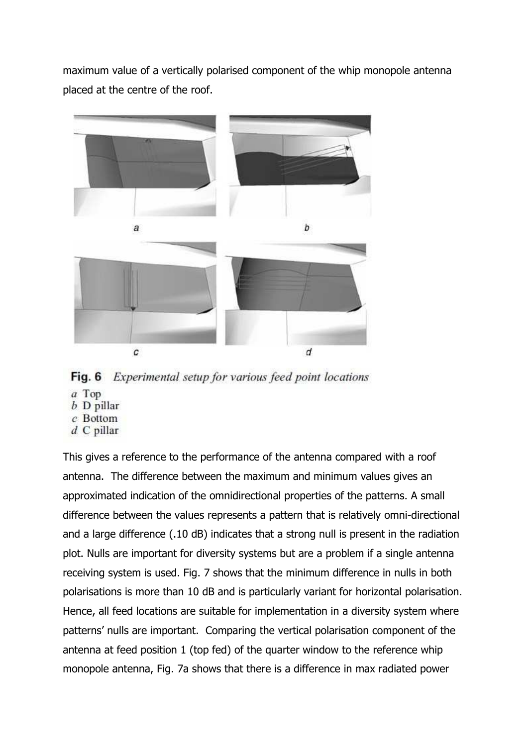maximum value of a vertically polarised component of the whip monopole antenna placed at the centre of the roof.



Fig. 6 Experimental setup for various feed point locations

- a Top
- $b$  D pillar
- $c$  Bottom
- $d$  C pillar

This gives a reference to the performance of the antenna compared with a roof antenna. The difference between the maximum and minimum values gives an approximated indication of the omnidirectional properties of the patterns. A small difference between the values represents a pattern that is relatively omni-directional and a large difference (.10 dB) indicates that a strong null is present in the radiation plot. Nulls are important for diversity systems but are a problem if a single antenna receiving system is used. Fig. 7 shows that the minimum difference in nulls in both polarisations is more than 10 dB and is particularly variant for horizontal polarisation. Hence, all feed locations are suitable for implementation in a diversity system where patterns' nulls are important. Comparing the vertical polarisation component of the antenna at feed position 1 (top fed) of the quarter window to the reference whip monopole antenna, Fig. 7a shows that there is a difference in max radiated power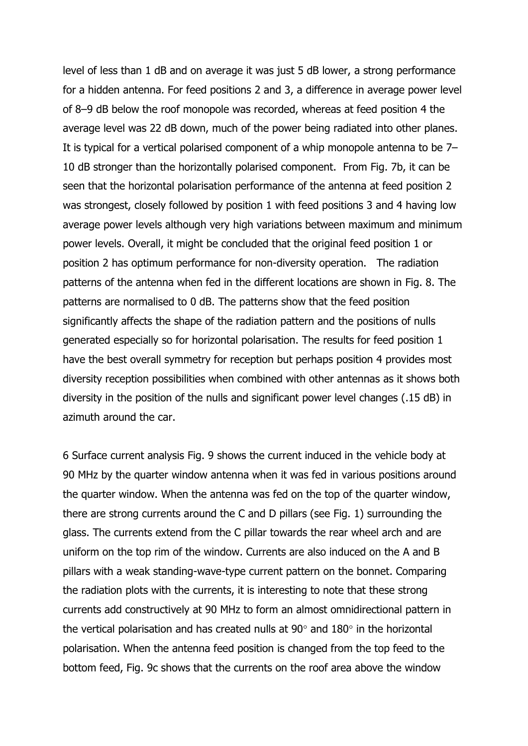level of less than 1 dB and on average it was just 5 dB lower, a strong performance for a hidden antenna. For feed positions 2 and 3, a difference in average power level of 8–9 dB below the roof monopole was recorded, whereas at feed position 4 the average level was 22 dB down, much of the power being radiated into other planes. It is typical for a vertical polarised component of a whip monopole antenna to be 7– 10 dB stronger than the horizontally polarised component. From Fig. 7b, it can be seen that the horizontal polarisation performance of the antenna at feed position 2 was strongest, closely followed by position 1 with feed positions 3 and 4 having low average power levels although very high variations between maximum and minimum power levels. Overall, it might be concluded that the original feed position 1 or position 2 has optimum performance for non-diversity operation. The radiation patterns of the antenna when fed in the different locations are shown in Fig. 8. The patterns are normalised to 0 dB. The patterns show that the feed position significantly affects the shape of the radiation pattern and the positions of nulls generated especially so for horizontal polarisation. The results for feed position 1 have the best overall symmetry for reception but perhaps position 4 provides most diversity reception possibilities when combined with other antennas as it shows both diversity in the position of the nulls and significant power level changes (.15 dB) in azimuth around the car.

6 Surface current analysis Fig. 9 shows the current induced in the vehicle body at 90 MHz by the quarter window antenna when it was fed in various positions around the quarter window. When the antenna was fed on the top of the quarter window, there are strong currents around the C and D pillars (see Fig. 1) surrounding the glass. The currents extend from the C pillar towards the rear wheel arch and are uniform on the top rim of the window. Currents are also induced on the A and B pillars with a weak standing-wave-type current pattern on the bonnet. Comparing the radiation plots with the currents, it is interesting to note that these strong currents add constructively at 90 MHz to form an almost omnidirectional pattern in the vertical polarisation and has created nulls at  $90^{\circ}$  and  $180^{\circ}$  in the horizontal polarisation. When the antenna feed position is changed from the top feed to the bottom feed, Fig. 9c shows that the currents on the roof area above the window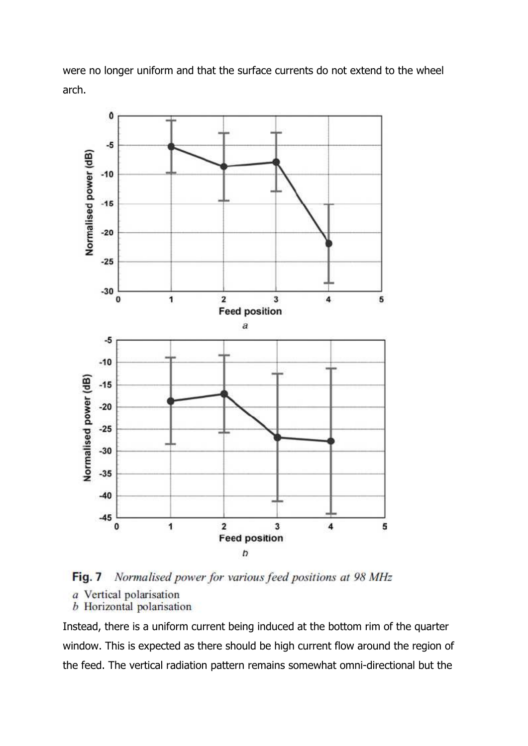were no longer uniform and that the surface currents do not extend to the wheel arch.



Fig. 7 Normalised power for various feed positions at 98 MHz a Vertical polarisation **b** Horizontal polarisation

Instead, there is a uniform current being induced at the bottom rim of the quarter window. This is expected as there should be high current flow around the region of the feed. The vertical radiation pattern remains somewhat omni-directional but the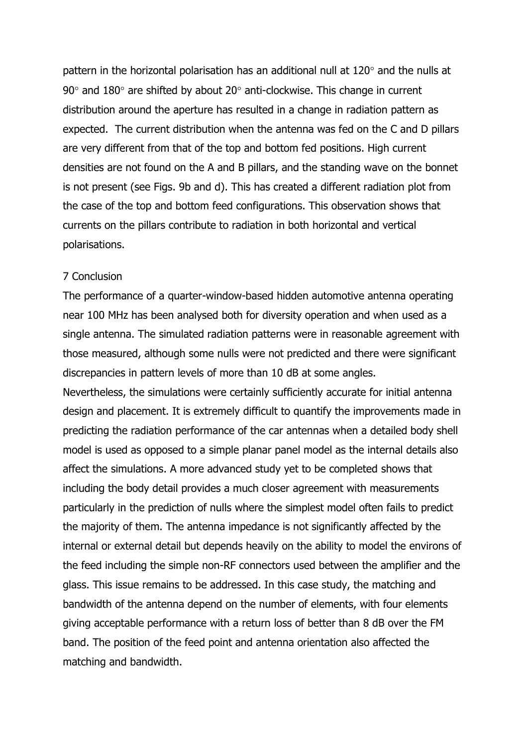pattern in the horizontal polarisation has an additional null at  $120^{\circ}$  and the nulls at  $90^\circ$  and  $180^\circ$  are shifted by about 20 $^\circ$  anti-clockwise. This change in current distribution around the aperture has resulted in a change in radiation pattern as expected. The current distribution when the antenna was fed on the C and D pillars are very different from that of the top and bottom fed positions. High current densities are not found on the A and B pillars, and the standing wave on the bonnet is not present (see Figs. 9b and d). This has created a different radiation plot from the case of the top and bottom feed configurations. This observation shows that currents on the pillars contribute to radiation in both horizontal and vertical polarisations.

### 7 Conclusion

The performance of a quarter-window-based hidden automotive antenna operating near 100 MHz has been analysed both for diversity operation and when used as a single antenna. The simulated radiation patterns were in reasonable agreement with those measured, although some nulls were not predicted and there were significant discrepancies in pattern levels of more than 10 dB at some angles.

Nevertheless, the simulations were certainly sufficiently accurate for initial antenna design and placement. It is extremely difficult to quantify the improvements made in predicting the radiation performance of the car antennas when a detailed body shell model is used as opposed to a simple planar panel model as the internal details also affect the simulations. A more advanced study yet to be completed shows that including the body detail provides a much closer agreement with measurements particularly in the prediction of nulls where the simplest model often fails to predict the majority of them. The antenna impedance is not significantly affected by the internal or external detail but depends heavily on the ability to model the environs of the feed including the simple non-RF connectors used between the amplifier and the glass. This issue remains to be addressed. In this case study, the matching and bandwidth of the antenna depend on the number of elements, with four elements giving acceptable performance with a return loss of better than 8 dB over the FM band. The position of the feed point and antenna orientation also affected the matching and bandwidth.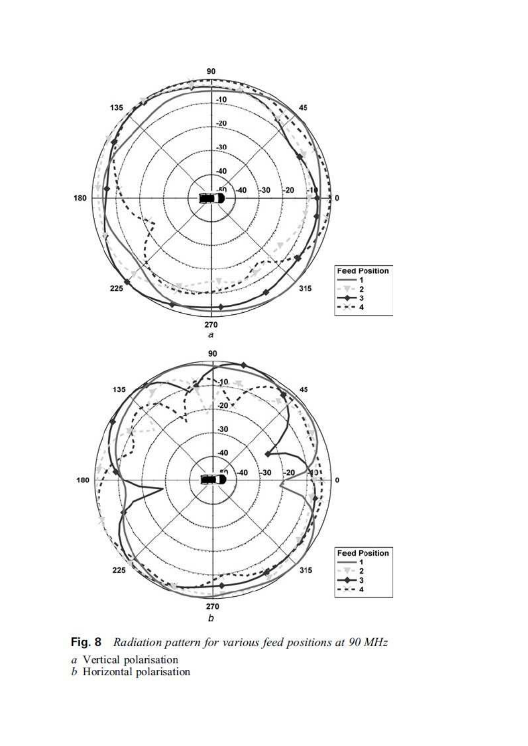

Fig. 8 Radiation pattern for various feed positions at 90 MHz

 $a$  Vertical polarisation<br> $b$  Horizontal polarisation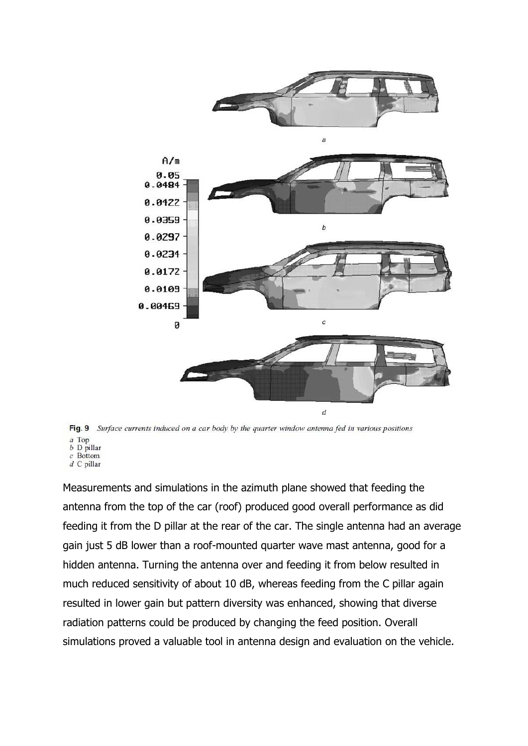



 $c$  Bottom

Measurements and simulations in the azimuth plane showed that feeding the antenna from the top of the car (roof) produced good overall performance as did feeding it from the D pillar at the rear of the car. The single antenna had an average gain just 5 dB lower than a roof-mounted quarter wave mast antenna, good for a hidden antenna. Turning the antenna over and feeding it from below resulted in much reduced sensitivity of about 10 dB, whereas feeding from the C pillar again resulted in lower gain but pattern diversity was enhanced, showing that diverse radiation patterns could be produced by changing the feed position. Overall simulations proved a valuable tool in antenna design and evaluation on the vehicle.

 $d \nC$  pillar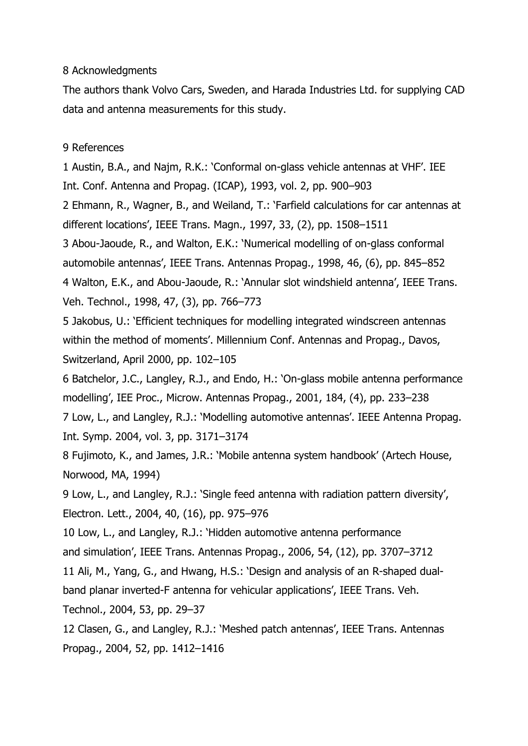### 8 Acknowledgments

The authors thank Volvo Cars, Sweden, and Harada Industries Ltd. for supplying CAD data and antenna measurements for this study.

9 References

1 Austin, B.A., and Najm, R.K.: 'Conformal on-glass vehicle antennas at VHF'. IEE Int. Conf. Antenna and Propag. (ICAP), 1993, vol. 2, pp. 900–903

2 Ehmann, R., Wagner, B., and Weiland, T.: 'Farfield calculations for car antennas at different locations', IEEE Trans. Magn., 1997, 33, (2), pp. 1508–1511

3 Abou-Jaoude, R., and Walton, E.K.: 'Numerical modelling of on-glass conformal automobile antennas', IEEE Trans. Antennas Propag., 1998, 46, (6), pp. 845–852 4 Walton, E.K., and Abou-Jaoude, R.: 'Annular slot windshield antenna', IEEE Trans. Veh. Technol., 1998, 47, (3), pp. 766–773

5 Jakobus, U.: 'Efficient techniques for modelling integrated windscreen antennas within the method of moments'. Millennium Conf. Antennas and Propag., Davos, Switzerland, April 2000, pp. 102–105

6 Batchelor, J.C., Langley, R.J., and Endo, H.: 'On-glass mobile antenna performance modelling', IEE Proc., Microw. Antennas Propag., 2001, 184, (4), pp. 233–238

7 Low, L., and Langley, R.J.: 'Modelling automotive antennas'. IEEE Antenna Propag. Int. Symp. 2004, vol. 3, pp. 3171–3174

8 Fujimoto, K., and James, J.R.: 'Mobile antenna system handbook' (Artech House, Norwood, MA, 1994)

9 Low, L., and Langley, R.J.: 'Single feed antenna with radiation pattern diversity', Electron. Lett., 2004, 40, (16), pp. 975–976

10 Low, L., and Langley, R.J.: 'Hidden automotive antenna performance and simulation', IEEE Trans. Antennas Propag., 2006, 54, (12), pp. 3707–3712 11 Ali, M., Yang, G., and Hwang, H.S.: 'Design and analysis of an R-shaped dualband planar inverted-F antenna for vehicular applications', IEEE Trans. Veh. Technol., 2004, 53, pp. 29–37

12 Clasen, G., and Langley, R.J.: 'Meshed patch antennas', IEEE Trans. Antennas Propag., 2004, 52, pp. 1412–1416